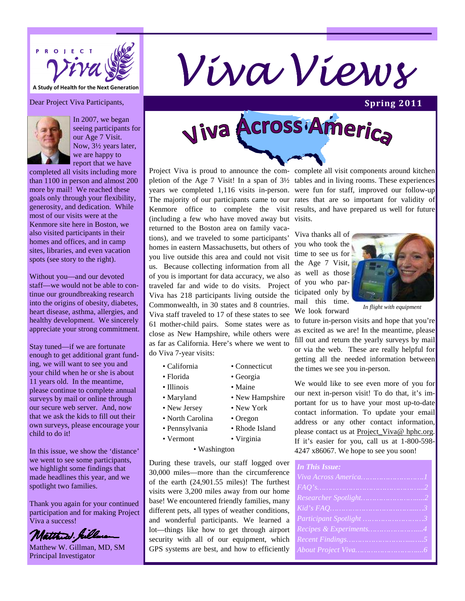

## **A Study of Health for the Next Generation**

Dear Project Viva Participants,



In 2007, we began seeing participants for our Age 7 Visit. Now, 3½ years later, we are happy to report that we have

completed all visits including more than 1100 in person and almost 200 more by mail! We reached these goals only through your flexibility, generosity, and dedication. While most of our visits were at the Kenmore site here in Boston, we also visited participants in their homes and offices, and in camp sites, libraries, and even vacation spots (see story to the right).

Without you—and our devoted staff—we would not be able to continue our groundbreaking research into the origins of obesity, diabetes, heart disease, asthma, allergies, and healthy development. We sincerely appreciate your strong commitment.

Stay tuned—if we are fortunate enough to get additional grant funding, we will want to see you and your child when he or she is about 11 years old. In the meantime, please continue to complete annual surveys by mail or online through our secure web server. And, now that we ask the kids to fill out their own surveys, please encourage your child to do it!

In this issue, we show the 'distance' we went to see some participants, we highlight some findings that made headlines this year, and we spotlight two families.

Thank you again for your continued participation and for making Project Viva a success!



Matthew W. Gillman, MD, SM Principal Investigator

# Viva Across America

Project Viva is proud to announce the com-complete all visit components around kitchen pletion of the Age 7 Visit! In a span of 3½ tables and in living rooms. These experiences years we completed 1,116 visits in-person. were fun for staff, improved our follow-up The majority of our participants came to our rates that are so important for validity of Kenmore office to complete the visit results, and have prepared us well for future (including a few who have moved away but visits. returned to the Boston area on family vacations), and we traveled to some participants' homes in eastern Massachusetts, but others of you live outside this area and could not visit us. Because collecting information from all of you is important for data accuracy, we also traveled far and wide to do visits. Project Viva has 218 participants living outside the Commonwealth, in 30 states and 8 countries. Viva staff traveled to 17 of these states to see 61 mother-child pairs. Some states were as close as New Hampshire, while others were as far as California. Here's where we went to do Viva 7-year visits:

- California Connecticut
- Florida Georgia
- Illinois Maine
- 
- New Jersey New York
- North Carolina Oregon
- 
- 

• Washington

During these travels, our staff logged over 30,000 miles—more than the circumference of the earth (24,901.55 miles)! The furthest visits were 3,200 miles away from our home base! We encountered friendly families, many different pets, all types of weather conditions, and wonderful participants. We learned a lot—things like how to get through airport security with all of our equipment, which GPS systems are best, and how to efficiently

Viva thanks all of you who took the time to see us for the Age 7 Visit, as well as those of you who participated only by mail this time. We look forward



**Spring 2011** 

*In flight with equipment* 

to future in-person visits and hope that you're as excited as we are! In the meantime, please fill out and return the yearly surveys by mail or via the web. These are really helpful for getting all the needed information between the times we see you in-person.

We would like to see even more of you for our next in-person visit! To do that, it's important for us to have your most up-to-date contact information. To update your email address or any other contact information, please contact us at **Project** Viva@ hphc.org. If it's easier for you, call us at 1-800-598- 4247 x86067. We hope to see you soon!

| <b>In This Issue:</b>   |
|-------------------------|
|                         |
|                         |
|                         |
|                         |
| Participant Spotlight 3 |
| Recipes & Experiments4  |
|                         |
|                         |



- 
- Pennsylvania Rhode Island
- Vermont Virginia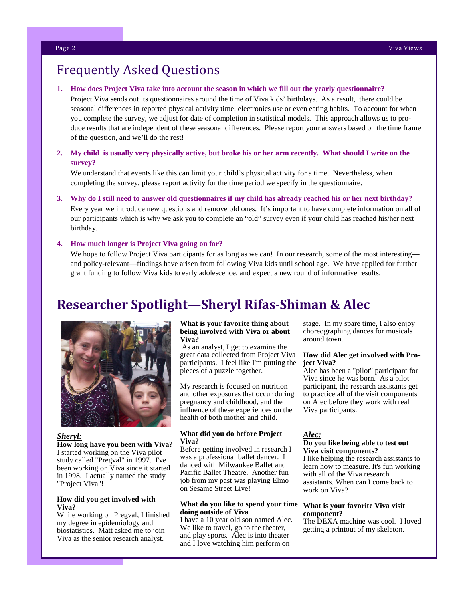## Frequently Asked Questions

#### **1. How does Project Viva take into account the season in which we fill out the yearly questionnaire?**

Project Viva sends out its questionnaires around the time of Viva kids' birthdays. As a result, there could be seasonal differences in reported physical activity time, electronics use or even eating habits. To account for when you complete the survey, we adjust for date of completion in statistical models. This approach allows us to produce results that are independent of these seasonal differences. Please report your answers based on the time frame of the question, and we'll do the rest!

#### **2. My child is usually very physically active, but broke his or her arm recently. What should I write on the survey?**

We understand that events like this can limit your child's physical activity for a time. Nevertheless, when completing the survey, please report activity for the time period we specify in the questionnaire.

**3. Why do I still need to answer old questionnaires if my child has already reached his or her next birthday?**  Every year we introduce new questions and remove old ones. It's important to have complete information on all of our participants which is why we ask you to complete an "old" survey even if your child has reached his/her next birthday.

#### **4. How much longer is Project Viva going on for?**

We hope to follow Project Viva participants for as long as we can! In our research, some of the most interesting and policy-relevant—findings have arisen from following Viva kids until school age. We have applied for further grant funding to follow Viva kids to early adolescence, and expect a new round of informative results.

## **Researcher Spotlight—Sheryl Rifas-Shiman & Alec**



#### *Sheryl:*

**How long have you been with Viva?**  I started working on the Viva pilot study called "Pregval" in 1997. I've been working on Viva since it started in 1998. I actually named the study "Project Viva"!

#### **How did you get involved with Viva?**

While working on Pregval, I finished my degree in epidemiology and biostatistics. Matt asked me to join Viva as the senior research analyst.

#### **What is your favorite thing about being involved with Viva or about Viva?**

 As an analyst, I get to examine the great data collected from Project Viva participants. I feel like I'm putting the pieces of a puzzle together.

My research is focused on nutrition and other exposures that occur during pregnancy and childhood, and the influence of these experiences on the health of both mother and child.

#### **What did you do before Project Viva?**

Before getting involved in research I was a professional ballet dancer. I danced with Milwaukee Ballet and Pacific Ballet Theatre. Another fun job from my past was playing Elmo on Sesame Street Live!

#### **What do you like to spend your time doing outside of Viva**

I have a 10 year old son named Alec. We like to travel, go to the theater, and play sports. Alec is into theater and I love watching him perform on

stage. In my spare time, I also enjoy choreographing dances for musicals around town.

#### **How did Alec get involved with Project Viva?**

Alec has been a "pilot" participant for Viva since he was born. As a pilot participant, the research assistants get to practice all of the visit components on Alec before they work with real Viva participants.

#### *Alec:*

#### **Do you like being able to test out Viva visit components?**

I like helping the research assistants to learn how to measure. It's fun working with all of the Viva research assistants. When can I come back to work on Viva?

#### **What is your favorite Viva visit component?**

The DEXA machine was cool. I loved getting a printout of my skeleton.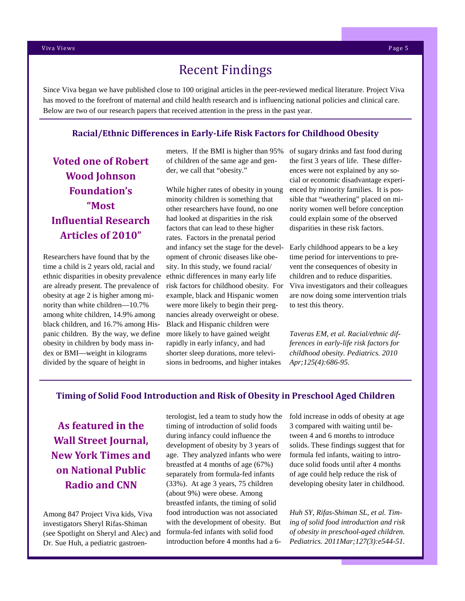### Recent Findings

Since Viva began we have published close to 100 original articles in the peer-reviewed medical literature. Project Viva has moved to the forefront of maternal and child health research and is influencing national policies and clinical care. Below are two of our research papers that received attention in the press in the past year.

#### **Racial/Ethnic Differences in Early-Life Risk Factors for Childhood Obesity**

**Voted one of Robert Wood Johnson Foundation's "Most Influential Research Articles of 2010"** 

Researchers have found that by the time a child is 2 years old, racial and ethnic disparities in obesity prevalence are already present. The prevalence of obesity at age 2 is higher among minority than white children—10.7% among white children, 14.9% among black children, and 16.7% among Hispanic children. By the way, we define obesity in children by body mass index or BMI—weight in kilograms divided by the square of height in

meters. If the BMI is higher than 95% of children of the same age and gender, we call that "obesity."

While higher rates of obesity in young minority children is something that other researchers have found, no one had looked at disparities in the risk factors that can lead to these higher rates. Factors in the prenatal period and infancy set the stage for the development of chronic diseases like obesity. In this study, we found racial/ ethnic differences in many early life risk factors for childhood obesity. For example, black and Hispanic women were more likely to begin their pregnancies already overweight or obese. Black and Hispanic children were more likely to have gained weight rapidly in early infancy, and had shorter sleep durations, more televisions in bedrooms, and higher intakes

of sugary drinks and fast food during the first 3 years of life. These differences were not explained by any social or economic disadvantage experienced by minority families. It is possible that "weathering" placed on minority women well before conception could explain some of the observed disparities in these risk factors.

Early childhood appears to be a key time period for interventions to prevent the consequences of obesity in children and to reduce disparities. Viva investigators and their colleagues are now doing some intervention trials to test this theory.

*Taveras EM, et al. Racial/ethnic differences in early-life risk factors for childhood obesity. Pediatrics. 2010 Apr;125(4):686-95.*

#### **Timing of Solid Food Introduction and Risk of Obesity in Preschool Aged Children**

**As featured in the Wall Street Journal, New York Times and on National Public Radio and CNN** 

Among 847 Project Viva kids, Viva investigators Sheryl Rifas-Shiman (see Spotlight on Sheryl and Alec) and Dr. Sue Huh, a pediatric gastroen-

terologist, led a team to study how the timing of introduction of solid foods during infancy could influence the development of obesity by 3 years of age. They analyzed infants who were breastfed at 4 months of age (67%) separately from formula-fed infants (33%). At age 3 years, 75 children (about 9%) were obese. Among breastfed infants, the timing of solid food introduction was not associated with the development of obesity. But formula-fed infants with solid food introduction before 4 months had a 6fold increase in odds of obesity at age 3 compared with waiting until between 4 and 6 months to introduce solids. These findings suggest that for formula fed infants, waiting to introduce solid foods until after 4 months of age could help reduce the risk of developing obesity later in childhood.

*Huh SY, Rifas-Shiman SL, et al. Timing of solid food introduction and risk of obesity in preschool-aged children. Pediatrics. 2011Mar;127(3):e544-51.*